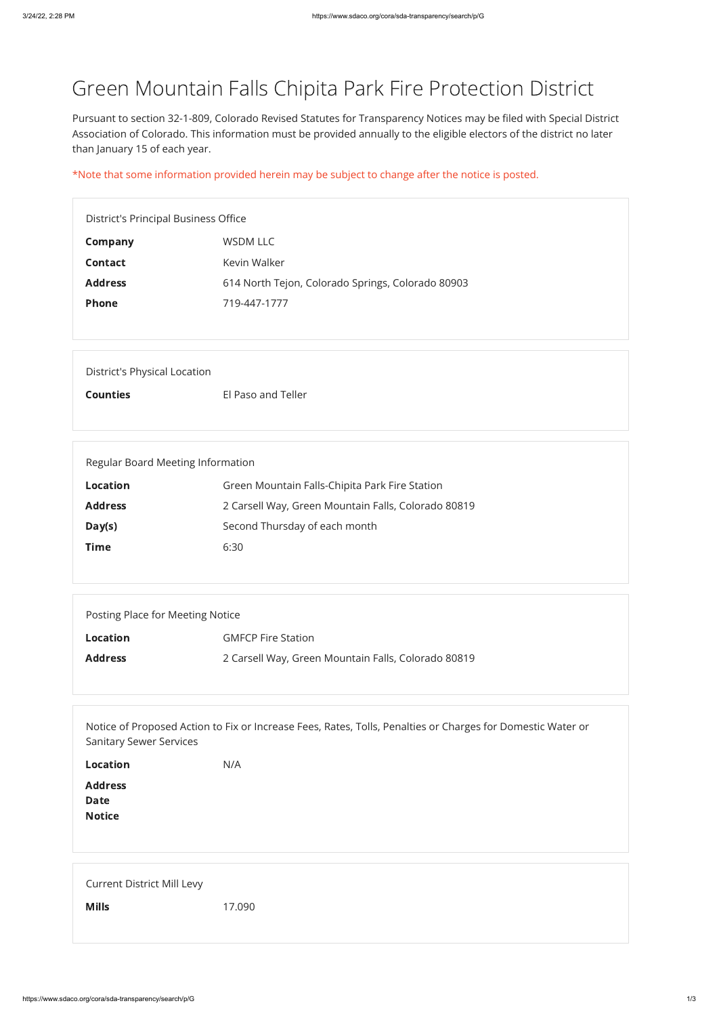## Green Mountain Falls Chipita Park Fire Protection District

| <b>District's Principal Business Office</b> |                                                   |
|---------------------------------------------|---------------------------------------------------|
| Company                                     | WSDM LLC                                          |
| <b>Contact</b>                              | Kevin Walker                                      |
| <b>Address</b>                              | 614 North Tejon, Colorado Springs, Colorado 80903 |
| <b>Phone</b>                                | 719-447-1777                                      |
|                                             |                                                   |

Pursuant to section 32-1-809, Colorado Revised Statutes for Transparency Notices may be filed with Special District Association of Colorado. This information must be provided annually to the eligible electors of the district no later than January 15 of each year.

\*Note that some information provided herein may be subject to change after the notice is posted.

| District's Physical Location |                    |
|------------------------------|--------------------|
| <b>Counties</b>              | El Paso and Teller |
|                              |                    |

Regular Board Meeting Information

| <b>Location</b> | Green Mountain Falls-Chipita Park Fire Station      |
|-----------------|-----------------------------------------------------|
| <b>Address</b>  | 2 Carsell Way, Green Mountain Falls, Colorado 80819 |
| Day(s)          | Second Thursday of each month                       |
| <b>Time</b>     | 6:30                                                |

| Posting Place for Meeting Notice |                                                     |
|----------------------------------|-----------------------------------------------------|
| <b>Location</b>                  | <b>GMFCP Fire Station</b>                           |
| <b>Address</b>                   | 2 Carsell Way, Green Mountain Falls, Colorado 80819 |
|                                  |                                                     |

Notice of Proposed Action to Fix or Increase Fees, Rates, Tolls, Penalties or Charges for Domestic Water or Sanitary Sewer Services

Location N/A

| LUCALIUII                          | IVA |
|------------------------------------|-----|
| <b>Address<br/>Date<br/>Notice</b> |     |
|                                    |     |
|                                    |     |
|                                    |     |
|                                    |     |
|                                    |     |
|                                    |     |

Current District Mill Levy

**Mills** 17.090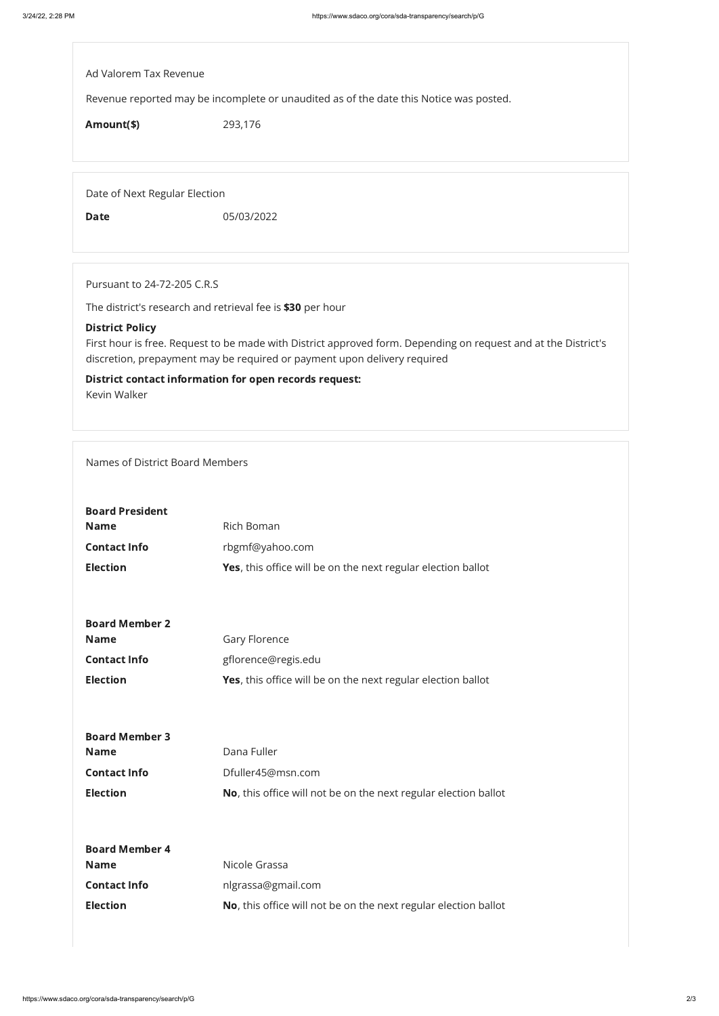Ad Valorem Tax Revenue

Revenue reported may be incomplete or unaudited as of the date this Notice was posted.

Amount(\$) 293,176

Date of Next Regular Election

**Date** 05/03/2022

Pursuant to 24-72-205 C.R.S

The district's research and retrieval fee is \$30 per hour

## District Policy

First hour is free. Request to be made with District approved form. Depending on request and at the District's discretion, prepayment may be required or payment upon delivery required

District contact information for open records request: Kevin Walker

## Names of District Board Members

|             | <b>Board Member 3</b> |
|-------------|-----------------------|
| <b>Name</b> |                       |

Dana Fuller

| <b>Board President</b> |                                                                     |
|------------------------|---------------------------------------------------------------------|
| <b>Name</b>            | <b>Rich Boman</b>                                                   |
| <b>Contact Info</b>    | rbgmf@yahoo.com                                                     |
| <b>Election</b>        | <b>Yes,</b> this office will be on the next regular election ballot |
|                        |                                                                     |
|                        |                                                                     |
| <b>Board Member 2</b>  |                                                                     |
| <b>Name</b>            | <b>Gary Florence</b>                                                |
| <b>Contact Info</b>    | gflorence@regis.edu                                                 |
| <b>Election</b>        | <b>Yes,</b> this office will be on the next regular election ballot |
|                        |                                                                     |

| <b>Contact Info</b>   | Dfuller45@msn.com                                               |
|-----------------------|-----------------------------------------------------------------|
| <b>Election</b>       | No, this office will not be on the next regular election ballot |
|                       |                                                                 |
| <b>Board Member 4</b> |                                                                 |
| <b>Name</b>           | Nicole Grassa                                                   |
| <b>Contact Info</b>   | nlgrassa@gmail.com                                              |
| <b>Election</b>       | No, this office will not be on the next regular election ballot |
|                       |                                                                 |